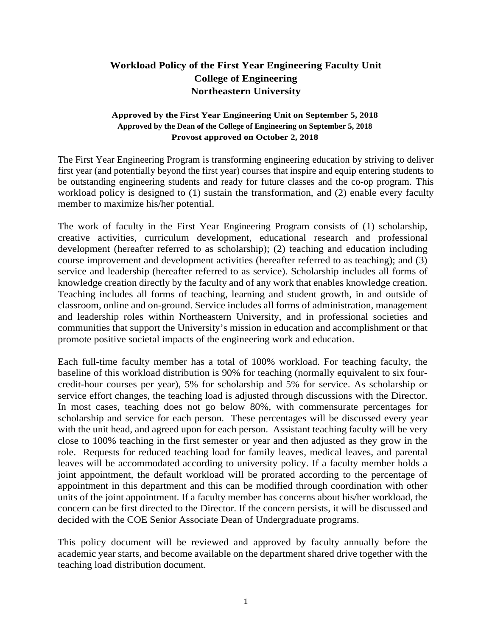## **Workload Policy of the First Year Engineering Faculty Unit College of Engineering Northeastern University**

## **Approved by the First Year Engineering Unit on September 5, 2018 Approved by the Dean of the College of Engineering on September 5, 2018 Provost approved on October 2, 2018**

The First Year Engineering Program is transforming engineering education by striving to deliver first year (and potentially beyond the first year) courses that inspire and equip entering students to be outstanding engineering students and ready for future classes and the co-op program. This workload policy is designed to (1) sustain the transformation, and (2) enable every faculty member to maximize his/her potential.

The work of faculty in the First Year Engineering Program consists of (1) scholarship, creative activities, curriculum development, educational research and professional development (hereafter referred to as scholarship); (2) teaching and education including course improvement and development activities (hereafter referred to as teaching); and (3) service and leadership (hereafter referred to as service). Scholarship includes all forms of knowledge creation directly by the faculty and of any work that enables knowledge creation. Teaching includes all forms of teaching, learning and student growth, in and outside of classroom, online and on-ground. Service includes all forms of administration, management and leadership roles within Northeastern University, and in professional societies and communities that support the University's mission in education and accomplishment or that promote positive societal impacts of the engineering work and education.

Each full-time faculty member has a total of 100% workload. For teaching faculty, the baseline of this workload distribution is 90% for teaching (normally equivalent to six fourcredit-hour courses per year), 5% for scholarship and 5% for service. As scholarship or service effort changes, the teaching load is adjusted through discussions with the Director. In most cases, teaching does not go below 80%, with commensurate percentages for scholarship and service for each person. These percentages will be discussed every year with the unit head, and agreed upon for each person. Assistant teaching faculty will be very close to 100% teaching in the first semester or year and then adjusted as they grow in the role. Requests for reduced teaching load for family leaves, medical leaves, and parental leaves will be accommodated according to university policy. If a faculty member holds a joint appointment, the default workload will be prorated according to the percentage of appointment in this department and this can be modified through coordination with other units of the joint appointment. If a faculty member has concerns about his/her workload, the concern can be first directed to the Director. If the concern persists, it will be discussed and decided with the COE Senior Associate Dean of Undergraduate programs.

This policy document will be reviewed and approved by faculty annually before the academic year starts, and become available on the department shared drive together with the teaching load distribution document.